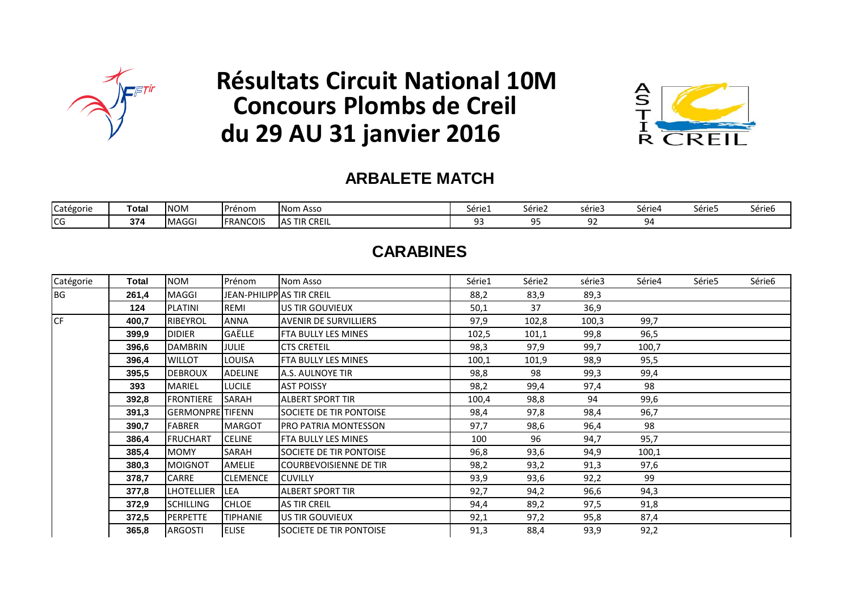

# **Résultats Circuit National 10M Concours Plombs de Creil du 29 AU 31 janvier 2016**



#### **ARBALETE MATCH**

| Catégorie | Tota. | <b>INOM</b> | Prénom          | Nom Asso            | Série<br>---- | Série2  | serie3   | série4 | ----<br>Série5 | $\sim$ $\prime$<br>Série6 |
|-----------|-------|-------------|-----------------|---------------------|---------------|---------|----------|--------|----------------|---------------------------|
| ICG       | 374   | <b>MAGG</b> | <b>FRANCOIS</b> | <b>AS TIR CREIL</b> |               | .<br>-- | n-<br>-- | qΔ     |                |                           |

### **CARABINES**

| Catégorie | Total | NOM                     | Prénom                    | Nom Asso                       | Série1 | Série2 | série3 | Série4 | Série5 | Série6 |
|-----------|-------|-------------------------|---------------------------|--------------------------------|--------|--------|--------|--------|--------|--------|
| BG        | 261,4 | MAGGI                   | JEAN-PHILIPP AS TIR CREIL |                                | 88,2   | 83,9   | 89,3   |        |        |        |
|           | 124   | <b>PLATINI</b>          | REMI                      | US TIR GOUVIEUX                | 50,1   | 37     | 36,9   |        |        |        |
| <b>CF</b> | 400,7 | <b>RIBEYROL</b>         | <b>ANNA</b>               | <b>AVENIR DE SURVILLIERS</b>   | 97,9   | 102,8  | 100,3  | 99,7   |        |        |
|           | 399,9 | <b>DIDIER</b>           | GAËLLE                    | FTA BULLY LES MINES            | 102,5  | 101,1  | 99,8   | 96,5   |        |        |
|           | 396,6 | <b>DAMBRIN</b>          | <b>JULIE</b>              | <b>CTS CRETEIL</b>             | 98,3   | 97,9   | 99,7   | 100,7  |        |        |
|           | 396,4 | <b>WILLOT</b>           | <b>LOUISA</b>             | <b>FTA BULLY LES MINES</b>     | 100,1  | 101,9  | 98,9   | 95,5   |        |        |
|           | 395,5 | <b>DEBROUX</b>          | <b>ADELINE</b>            | A.S. AULNOYE TIR               | 98,8   | 98     | 99,3   | 99,4   |        |        |
|           | 393   | MARIEL                  | <b>LUCILE</b>             | <b>AST POISSY</b>              | 98,2   | 99,4   | 97,4   | 98     |        |        |
|           | 392,8 | <b>FRONTIERE</b>        | SARAH                     | <b>ALBERT SPORT TIR</b>        | 100,4  | 98,8   | 94     | 99,6   |        |        |
|           | 391,3 | <b>GERMONPRE</b> TIFENN |                           | SOCIETE DE TIR PONTOISE        | 98,4   | 97,8   | 98,4   | 96,7   |        |        |
|           | 390,7 | FABRER                  | <b>MARGOT</b>             | PRO PATRIA MONTESSON           | 97,7   | 98,6   | 96,4   | 98     |        |        |
|           | 386,4 | <b>FRUCHART</b>         | <b>CELINE</b>             | FTA BULLY LES MINES            | 100    | 96     | 94,7   | 95,7   |        |        |
|           | 385,4 | <b>MOMY</b>             | SARAH                     | SOCIETE DE TIR PONTOISE        | 96,8   | 93,6   | 94,9   | 100,1  |        |        |
|           | 380,3 | <b>MOIGNOT</b>          | AMELIE                    | <b>COURBEVOISIENNE DE TIR</b>  | 98,2   | 93,2   | 91,3   | 97,6   |        |        |
|           | 378,7 | <b>CARRE</b>            | <b>CLEMENCE</b>           | <b>CUVILLY</b>                 | 93,9   | 93,6   | 92,2   | 99     |        |        |
|           | 377,8 | <b>LHOTELLIER</b>       | <b>LEA</b>                | <b>ALBERT SPORT TIR</b>        | 92,7   | 94,2   | 96,6   | 94,3   |        |        |
|           | 372,9 | <b>SCHILLING</b>        | <b>CHLOE</b>              | <b>AS TIR CREIL</b>            | 94,4   | 89,2   | 97,5   | 91,8   |        |        |
|           | 372,5 | <b>PERPETTE</b>         | <b>TIPHANIE</b>           | US TIR GOUVIEUX                | 92,1   | 97,2   | 95,8   | 87,4   |        |        |
|           | 365,8 | ARGOSTI                 | <b>ELISE</b>              | <b>SOCIETE DE TIR PONTOISE</b> | 91,3   | 88,4   | 93,9   | 92,2   |        |        |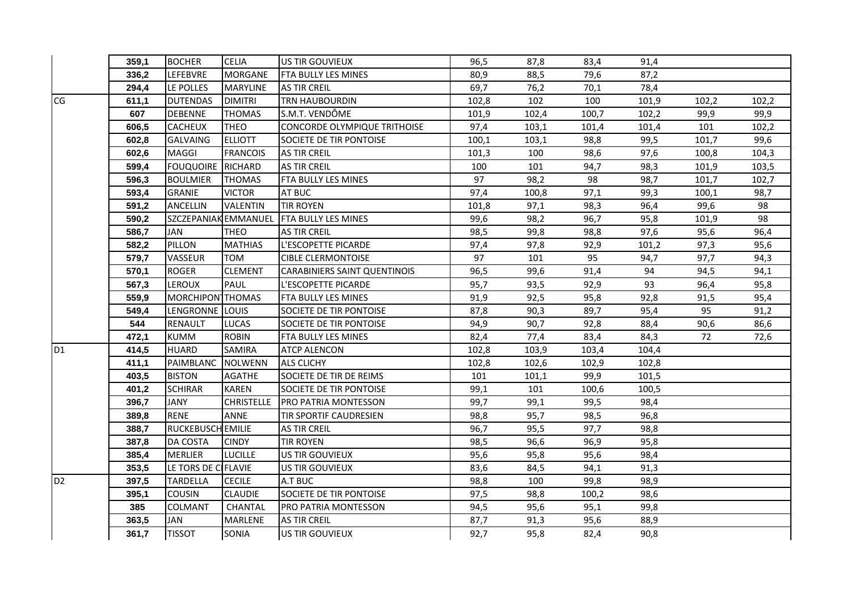|                | 359.1 | <b>BOCHER</b>            | <b>CELIA</b>      | US TIR GOUVIEUX                     | 96,5  | 87,8  | 83,4  | 91,4  |       |       |
|----------------|-------|--------------------------|-------------------|-------------------------------------|-------|-------|-------|-------|-------|-------|
|                | 336,2 | LEFEBVRE                 | <b>MORGANE</b>    | FTA BULLY LES MINES                 | 80,9  | 88,5  | 79,6  | 87,2  |       |       |
|                | 294,4 | LE POLLES                | <b>MARYLINE</b>   | <b>AS TIR CREIL</b>                 | 69,7  | 76,2  | 70,1  | 78,4  |       |       |
| CG             | 611,1 | <b>DUTENDAS</b>          | <b>DIMITRI</b>    | <b>TRN HAUBOURDIN</b>               | 102,8 | 102   | 100   | 101,9 | 102,2 | 102,2 |
|                | 607   | <b>DEBENNE</b>           | <b>THOMAS</b>     | S.M.T. VENDÔME                      | 101,9 | 102,4 | 100,7 | 102,2 | 99,9  | 99,9  |
|                | 606,5 | <b>CACHEUX</b>           | <b>THEO</b>       | CONCORDE OLYMPIQUE TRITHOISE        | 97,4  | 103,1 | 101,4 | 101,4 | 101   | 102,2 |
|                | 602,8 | <b>GALVAING</b>          | <b>ELLIOTT</b>    | SOCIETE DE TIR PONTOISE             | 100,1 | 103,1 | 98,8  | 99,5  | 101,7 | 99,6  |
|                | 602,6 | MAGGI                    | <b>FRANCOIS</b>   | <b>AS TIR CREIL</b>                 | 101,3 | 100   | 98,6  | 97,6  | 100,8 | 104,3 |
|                | 599,4 | <b>FOUQUOIRE RICHARD</b> |                   | <b>AS TIR CREIL</b>                 | 100   | 101   | 94,7  | 98,3  | 101,9 | 103,5 |
|                | 596,3 | <b>BOULMIER</b>          | <b>THOMAS</b>     | FTA BULLY LES MINES                 | 97    | 98,2  | 98    | 98,7  | 101,7 | 102,7 |
|                | 593,4 | <b>GRANIE</b>            | <b>VICTOR</b>     | AT BUC                              | 97,4  | 100,8 | 97,1  | 99,3  | 100,1 | 98,7  |
|                | 591,2 | <b>ANCELLIN</b>          | <b>VALENTIN</b>   | <b>TIR ROYEN</b>                    | 101,8 | 97,1  | 98,3  | 96,4  | 99,6  | 98    |
|                | 590,2 | SZCZEPANIAK EMMANUEL     |                   | FTA BULLY LES MINES                 | 99,6  | 98,2  | 96,7  | 95,8  | 101,9 | 98    |
|                | 586,7 | JAN                      | <b>THEO</b>       | <b>AS TIR CREIL</b>                 | 98,5  | 99,8  | 98,8  | 97,6  | 95,6  | 96,4  |
|                | 582,2 | PILLON                   | <b>MATHIAS</b>    | L'ESCOPETTE PICARDE                 | 97,4  | 97,8  | 92,9  | 101,2 | 97,3  | 95,6  |
|                | 579,7 | VASSEUR                  | <b>TOM</b>        | <b>CIBLE CLERMONTOISE</b>           | 97    | 101   | 95    | 94,7  | 97,7  | 94,3  |
|                | 570,1 | ROGER                    | <b>CLEMENT</b>    | <b>CARABINIERS SAINT QUENTINOIS</b> | 96,5  | 99,6  | 91,4  | 94    | 94,5  | 94,1  |
|                | 567,3 | <b>LEROUX</b>            | PAUL              | L'ESCOPETTE PICARDE                 | 95,7  | 93,5  | 92,9  | 93    | 96,4  | 95,8  |
|                | 559,9 | MORCHIPON THOMAS         |                   | FTA BULLY LES MINES                 | 91,9  | 92,5  | 95,8  | 92,8  | 91,5  | 95,4  |
|                | 549,4 | LENGRONNE LOUIS          |                   | SOCIETE DE TIR PONTOISE             | 87,8  | 90,3  | 89,7  | 95,4  | 95    | 91,2  |
|                | 544   | <b>RENAULT</b>           | <b>LUCAS</b>      | SOCIETE DE TIR PONTOISE             | 94,9  | 90,7  | 92,8  | 88,4  | 90,6  | 86,6  |
|                | 472,1 | <b>KUMM</b>              | <b>ROBIN</b>      | FTA BULLY LES MINES                 | 82,4  | 77,4  | 83,4  | 84,3  | 72    | 72,6  |
| D <sub>1</sub> | 414,5 | <b>HUARD</b>             | <b>SAMIRA</b>     | <b>ATCP ALENCON</b>                 | 102,8 | 103,9 | 103,4 | 104,4 |       |       |
|                | 411,1 | PAIMBLANC                | <b>NOLWENN</b>    | <b>ALS CLICHY</b>                   | 102,8 | 102,6 | 102,9 | 102,8 |       |       |
|                | 403,5 | <b>BISTON</b>            | <b>AGATHE</b>     | SOCIETE DE TIR DE REIMS             | 101   | 101,1 | 99,9  | 101,5 |       |       |
|                | 401,2 | <b>SCHIRAR</b>           | <b>KAREN</b>      | SOCIETE DE TIR PONTOISE             | 99,1  | 101   | 100,6 | 100,5 |       |       |
|                | 396,7 | <b>JANY</b>              | <b>CHRISTELLE</b> | PRO PATRIA MONTESSON                | 99,7  | 99,1  | 99,5  | 98,4  |       |       |
|                | 389,8 | <b>RENE</b>              | <b>ANNE</b>       | TIR SPORTIF CAUDRESIEN              | 98,8  | 95,7  | 98,5  | 96,8  |       |       |
|                | 388,7 | RUCKEBUSCH EMILIE        |                   | <b>AS TIR CREIL</b>                 | 96,7  | 95,5  | 97,7  | 98,8  |       |       |
|                | 387,8 | DA COSTA                 | <b>CINDY</b>      | <b>TIR ROYEN</b>                    | 98,5  | 96,6  | 96,9  | 95,8  |       |       |
|                | 385,4 | <b>MERLIER</b>           | <b>LUCILLE</b>    | US TIR GOUVIEUX                     | 95,6  | 95,8  | 95,6  | 98,4  |       |       |
|                | 353,5 | LE TORS DE CIFLAVIE      |                   | US TIR GOUVIEUX                     | 83,6  | 84,5  | 94,1  | 91,3  |       |       |
| D <sub>2</sub> | 397,5 | <b>TARDELLA</b>          | <b>CECILE</b>     | A.T BUC                             | 98,8  | 100   | 99,8  | 98,9  |       |       |
|                | 395,1 | <b>COUSIN</b>            | <b>CLAUDIE</b>    | <b>SOCIETE DE TIR PONTOISE</b>      | 97,5  | 98,8  | 100,2 | 98,6  |       |       |
|                | 385   | COLMANT                  | CHANTAL           | PRO PATRIA MONTESSON                | 94,5  | 95,6  | 95,1  | 99,8  |       |       |
|                | 363,5 | JAN                      | <b>MARLENE</b>    | <b>AS TIR CREIL</b>                 | 87,7  | 91,3  | 95,6  | 88,9  |       |       |
|                | 361,7 | <b>TISSOT</b>            | SONIA             | US TIR GOUVIEUX                     | 92,7  | 95,8  | 82,4  | 90,8  |       |       |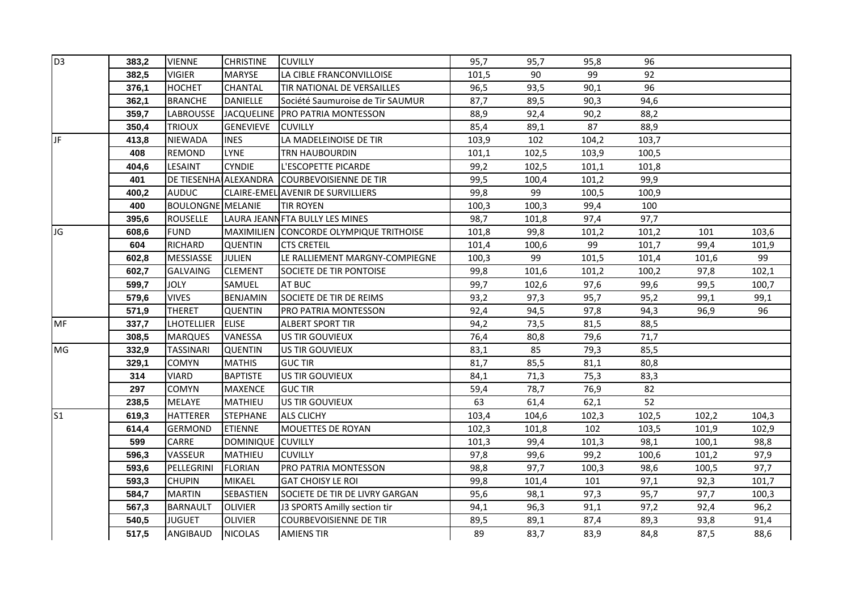| D <sub>3</sub> | 383,2 | <b>VIENNE</b>            | <b>CHRISTINE</b>  | <b>CUVILLY</b>                               | 95,7  | 95,7  | 95,8  | 96    |       |       |
|----------------|-------|--------------------------|-------------------|----------------------------------------------|-------|-------|-------|-------|-------|-------|
|                | 382,5 | <b>VIGIER</b>            | <b>MARYSE</b>     | LA CIBLE FRANCONVILLOISE                     | 101,5 | 90    | 99    | 92    |       |       |
|                | 376,1 | <b>HOCHET</b>            | <b>CHANTAL</b>    | TIR NATIONAL DE VERSAILLES                   | 96,5  | 93,5  | 90,1  | 96    |       |       |
|                | 362,1 | <b>BRANCHE</b>           | <b>DANIELLE</b>   | Société Saumuroise de Tir SAUMUR             | 87,7  | 89,5  | 90,3  | 94,6  |       |       |
|                | 359,7 | <b>LABROUSSE</b>         |                   | JACQUELINE   PRO PATRIA MONTESSON            | 88,9  | 92,4  | 90,2  | 88,2  |       |       |
|                | 350,4 | <b>TRIOUX</b>            | <b>GENEVIEVE</b>  | <b>CUVILLY</b>                               | 85,4  | 89,1  | 87    | 88,9  |       |       |
| JF.            | 413,8 | <b>NIEWADA</b>           | <b>INES</b>       | LA MADELEINOISE DE TIR                       | 103,9 | 102   | 104,2 | 103,7 |       |       |
|                | 408   | <b>REMOND</b>            | <b>LYNE</b>       | <b>TRN HAUBOURDIN</b>                        | 101,1 | 102,5 | 103,9 | 100,5 |       |       |
|                | 404,6 | LESAINT                  | <b>CYNDIE</b>     | L'ESCOPETTE PICARDE                          | 99,2  | 102,5 | 101,1 | 101,8 |       |       |
|                | 401   |                          |                   | DE TIESENHA ALEXANDRA COURBEVOISIENNE DE TIR | 99,5  | 100,4 | 101,2 | 99,9  |       |       |
|                | 400,2 | <b>AUDUC</b>             |                   | CLAIRE-EMEL AVENIR DE SURVILLIERS            | 99,8  | 99    | 100,5 | 100,9 |       |       |
|                | 400   | <b>BOULONGNE MELANIE</b> |                   | <b>TIR ROYEN</b>                             | 100,3 | 100,3 | 99,4  | 100   |       |       |
|                | 395,6 | <b>ROUSELLE</b>          |                   | LAURA JEANN FTA BULLY LES MINES              | 98,7  | 101,8 | 97,4  | 97,7  |       |       |
| JG             | 608,6 | <b>FUND</b>              |                   | MAXIMILIEN CONCORDE OLYMPIQUE TRITHOISE      | 101,8 | 99,8  | 101,2 | 101,2 | 101   | 103,6 |
|                | 604   | RICHARD                  | <b>QUENTIN</b>    | <b>CTS CRETEIL</b>                           | 101,4 | 100,6 | 99    | 101,7 | 99,4  | 101,9 |
|                | 602,8 | <b>MESSIASSE</b>         | <b>JULIEN</b>     | LE RALLIEMENT MARGNY-COMPIEGNE               | 100,3 | 99    | 101,5 | 101,4 | 101,6 | 99    |
|                | 602,7 | <b>GALVAING</b>          | <b>CLEMENT</b>    | SOCIETE DE TIR PONTOISE                      | 99,8  | 101,6 | 101,2 | 100,2 | 97,8  | 102,1 |
|                | 599,7 | <b>JOLY</b>              | SAMUEL            | AT BUC                                       | 99,7  | 102,6 | 97,6  | 99,6  | 99,5  | 100,7 |
|                | 579,6 | <b>VIVES</b>             | <b>BENJAMIN</b>   | SOCIETE DE TIR DE REIMS                      | 93,2  | 97,3  | 95,7  | 95,2  | 99,1  | 99,1  |
|                | 571,9 | <b>THERET</b>            | <b>QUENTIN</b>    | PRO PATRIA MONTESSON                         | 92,4  | 94,5  | 97,8  | 94,3  | 96,9  | 96    |
| MF             | 337,7 | <b>LHOTELLIER</b>        | <b>ELISE</b>      | <b>ALBERT SPORT TIR</b>                      | 94,2  | 73,5  | 81,5  | 88,5  |       |       |
|                | 308,5 | <b>MARQUES</b>           | VANESSA           | US TIR GOUVIEUX                              | 76,4  | 80,8  | 79,6  | 71,7  |       |       |
| MG             | 332,9 | <b>TASSINARI</b>         | <b>QUENTIN</b>    | US TIR GOUVIEUX                              | 83,1  | 85    | 79,3  | 85,5  |       |       |
|                | 329,1 | <b>COMYN</b>             | <b>MATHIS</b>     | <b>GUC TIR</b>                               | 81,7  | 85,5  | 81,1  | 80,8  |       |       |
|                | 314   | <b>VIARD</b>             | <b>BAPTISTE</b>   | US TIR GOUVIEUX                              | 84,1  | 71,3  | 75,3  | 83,3  |       |       |
|                | 297   | <b>COMYN</b>             | <b>MAXENCE</b>    | <b>GUC TIR</b>                               | 59,4  | 78,7  | 76,9  | 82    |       |       |
|                | 238,5 | MELAYE                   | MATHIEU           | US TIR GOUVIEUX                              | 63    | 61,4  | 62,1  | 52    |       |       |
| S <sub>1</sub> | 619,3 | <b>HATTERER</b>          | <b>STEPHANE</b>   | <b>ALS CLICHY</b>                            | 103,4 | 104,6 | 102,3 | 102,5 | 102,2 | 104,3 |
|                | 614,4 | <b>GERMOND</b>           | <b>ETIENNE</b>    | <b>MOUETTES DE ROYAN</b>                     | 102,3 | 101,8 | 102   | 103,5 | 101,9 | 102,9 |
|                | 599   | CARRE                    | DOMINIQUE CUVILLY |                                              | 101,3 | 99,4  | 101,3 | 98,1  | 100,1 | 98,8  |
|                | 596,3 | VASSEUR                  | MATHIEU           | <b>CUVILLY</b>                               | 97,8  | 99,6  | 99,2  | 100,6 | 101,2 | 97,9  |
|                | 593,6 | PELLEGRINI               | <b>FLORIAN</b>    | PRO PATRIA MONTESSON                         | 98,8  | 97,7  | 100,3 | 98,6  | 100,5 | 97,7  |
|                | 593,3 | <b>CHUPIN</b>            | <b>MIKAEL</b>     | <b>GAT CHOISY LE ROI</b>                     | 99,8  | 101,4 | 101   | 97,1  | 92,3  | 101,7 |
|                | 584,7 | <b>MARTIN</b>            | <b>SEBASTIEN</b>  | SOCIETE DE TIR DE LIVRY GARGAN               | 95,6  | 98,1  | 97,3  | 95,7  | 97,7  | 100,3 |
|                | 567,3 | <b>BARNAULT</b>          | <b>OLIVIER</b>    | J3 SPORTS Amilly section tir                 | 94,1  | 96,3  | 91,1  | 97,2  | 92,4  | 96,2  |
|                | 540,5 | <b>JUGUET</b>            | <b>OLIVIER</b>    | <b>COURBEVOISIENNE DE TIR</b>                | 89,5  | 89,1  | 87,4  | 89,3  | 93,8  | 91,4  |
|                | 517,5 | ANGIBAUD                 | <b>NICOLAS</b>    | <b>AMIENS TIR</b>                            | 89    | 83,7  | 83,9  | 84,8  | 87,5  | 88,6  |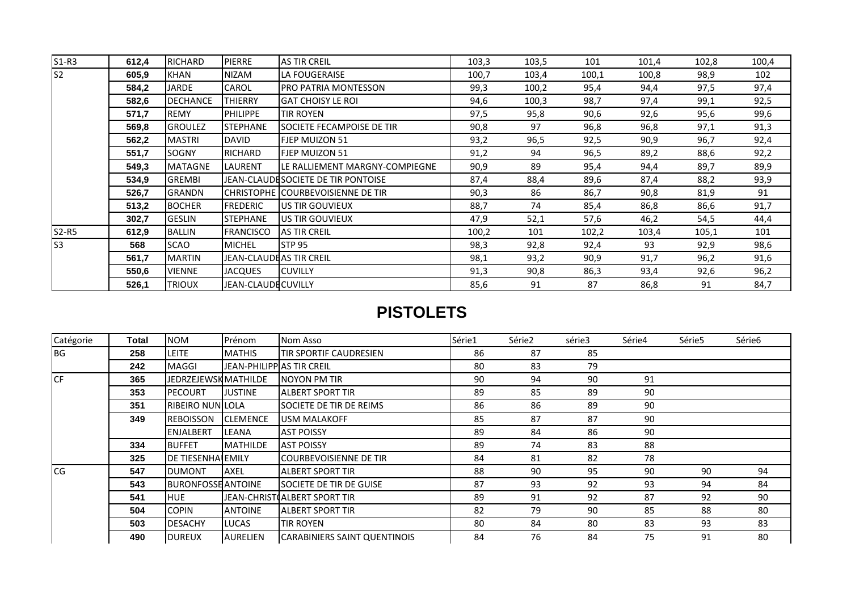| $S1-R3$ | 612,4 | RICHARD         | <b>PIERRE</b>                   | <b>AS TIR CREIL</b>                | 103,3 | 103,5 | 101   | 101,4 | 102,8 | 100,4 |
|---------|-------|-----------------|---------------------------------|------------------------------------|-------|-------|-------|-------|-------|-------|
| ls2     | 605,9 | <b>KHAN</b>     | <b>NIZAM</b>                    | LA FOUGERAISE                      | 100,7 | 103,4 | 100,1 | 100,8 | 98,9  | 102   |
|         | 584,2 | JARDE           | CAROL                           | <b>PRO PATRIA MONTESSON</b>        | 99,3  | 100,2 | 95,4  | 94,4  | 97,5  | 97,4  |
|         | 582,6 | <b>DECHANCE</b> | THIERRY                         | <b>GAT CHOISY LE ROI</b>           | 94,6  | 100,3 | 98,7  | 97,4  | 99,1  | 92,5  |
|         | 571,7 | <b>REMY</b>     | <b>PHILIPPE</b>                 | TIR ROYEN                          | 97,5  | 95,8  | 90,6  | 92,6  | 95,6  | 99,6  |
|         | 569,8 | <b>GROULEZ</b>  | <b>STEPHANE</b>                 | <b>SOCIETE FECAMPOISE DE TIR</b>   | 90,8  | 97    | 96,8  | 96,8  | 97,1  | 91,3  |
|         | 562,2 | <b>MASTRI</b>   | <b>DAVID</b>                    | <b>FJEP MUIZON 51</b>              | 93,2  | 96,5  | 92,5  | 90,9  | 96,7  | 92,4  |
|         | 551,7 | <b>SOGNY</b>    | <b>RICHARD</b>                  | <b>FJEP MUIZON 51</b>              | 91,2  | 94    | 96,5  | 89,2  | 88,6  | 92,2  |
|         | 549,3 | <b>MATAGNE</b>  | <b>LAURENT</b>                  | LE RALLIEMENT MARGNY-COMPIEGNE     | 90,9  | 89    | 95,4  | 94,4  | 89,7  | 89,9  |
|         | 534,9 | <b>GREMBI</b>   |                                 | JEAN-CLAUDESOCIETE DE TIR PONTOISE | 87,4  | 88,4  | 89,6  | 87,4  | 88,2  | 93,9  |
|         | 526,7 | <b>GRANDN</b>   |                                 | CHRISTOPHE ICOURBEVOISIENNE DE TIR | 90,3  | 86    | 86,7  | 90,8  | 81,9  | 91    |
|         | 513,2 | <b>BOCHER</b>   | <b>FREDERIC</b>                 | <b>IUS TIR GOUVIEUX</b>            | 88,7  | 74    | 85,4  | 86,8  | 86,6  | 91,7  |
|         | 302,7 | <b>GESLIN</b>   | <b>STEPHANE</b>                 | <b>IUS TIR GOUVIEUX</b>            | 47,9  | 52,1  | 57,6  | 46,2  | 54,5  | 44,4  |
| $S2-R5$ | 612,9 | <b>BALLIN</b>   | <b>FRANCISCO</b>                | <b>AS TIR CREIL</b>                | 100,2 | 101   | 102,2 | 103,4 | 105,1 | 101   |
| ls3     | 568   | <b>SCAO</b>     | <b>MICHEL</b>                   | <b>STP 95</b>                      | 98,3  | 92,8  | 92,4  | 93    | 92,9  | 98,6  |
|         | 561,7 | <b>MARTIN</b>   | <b>JEAN-CLAUDE AS TIR CREIL</b> |                                    | 98,1  | 93,2  | 90,9  | 91,7  | 96,2  | 91,6  |
|         | 550,6 | <b>VIENNE</b>   | <b>JACQUES</b>                  | <b>CUVILLY</b>                     | 91,3  | 90,8  | 86,3  | 93,4  | 92,6  | 96,2  |
|         | 526,1 | <b>TRIOUX</b>   | <b>JEAN-CLAUDECUVILLY</b>       |                                    | 85,6  | 91    | 87    | 86,8  | 91    | 84,7  |

# **PISTOLETS**

| Catégorie   | Total | <b>NOM</b>                | Prénom                    | Nom Asso                            | Série1 | Série <sub>2</sub> | série3 | Série4 | Série5 | Série6 |
|-------------|-------|---------------------------|---------------------------|-------------------------------------|--------|--------------------|--------|--------|--------|--------|
| <b>BG</b>   | 258   | LEITE                     | <b>MATHIS</b>             | TIR SPORTIF CAUDRESIEN              | 86     | 87                 | 85     |        |        |        |
|             | 242   | <b>MAGGI</b>              | JEAN-PHILIPPIAS TIR CREIL |                                     | 80     | 83                 | 79     |        |        |        |
| <b>CF</b>   | 365   | JEDRZEJEWSK MATHILDE      |                           | INOYON PM TIR                       | 90     | 94                 | 90     | 91     |        |        |
|             | 353   | <b>PECOURT</b>            | <b>JUSTINE</b>            | IALBERT SPORT TIR                   | 89     | 85                 | 89     | 90     |        |        |
|             | 351   | <b>RIBEIRO NUNILOLA</b>   |                           | SOCIETE DE TIR DE REIMS             | 86     | 86                 | 89     | 90     |        |        |
|             | 349   | <b>REBOISSON</b>          | <b>ICLEMENCE</b>          | <b>USM MALAKOFF</b>                 | 85     | 87                 | 87     | 90     |        |        |
|             |       | <b>ENJALBERT</b>          | <b>LEANA</b>              | <b>AST POISSY</b>                   | 89     | 84                 | 86     | 90     |        |        |
|             | 334   | <b>BUFFET</b>             | <b>MATHILDE</b>           | <b>AST POISSY</b>                   | 89     | 74                 | 83     | 88     |        |        |
|             | 325   | <b>DE TIESENHALEMILY</b>  |                           | <b>COURBEVOISIENNE DE TIR</b>       | 84     | 81                 | 82     | 78     |        |        |
| <b>I</b> CG | 547   | <b>DUMONT</b>             | <b>AXEL</b>               | ALBERT SPORT TIR                    | 88     | 90                 | 95     | 90     | 90     | 94     |
|             | 543   | <b>BURONFOSSE ANTOINE</b> |                           | <b>SOCIETE DE TIR DE GUISE</b>      | 87     | 93                 | 92     | 93     | 94     | 84     |
|             | 541   | <b>HUE</b>                |                           | JEAN-CHRIST(ALBERT SPORT TIR        | 89     | 91                 | 92     | 87     | 92     | 90     |
|             | 504   | <b>COPIN</b>              | <b>ANTOINE</b>            | <b>ALBERT SPORT TIR</b>             | 82     | 79                 | 90     | 85     | 88     | 80     |
|             | 503   | <b>DESACHY</b>            | <b>LUCAS</b>              | <b>TIR ROYEN</b>                    | 80     | 84                 | 80     | 83     | 93     | 83     |
|             | 490   | <b>DUREUX</b>             | <b>AURELIEN</b>           | <b>CARABINIERS SAINT QUENTINOIS</b> | 84     | 76                 | 84     | 75     | 91     | 80     |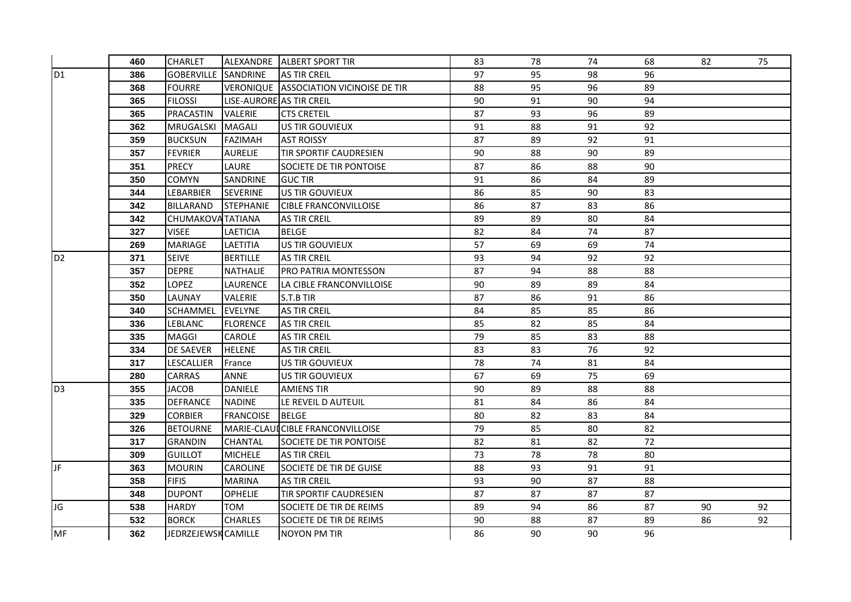|                 | 460 | <b>CHARLET</b>             |                          | ALEXANDRE ALBERT SPORT TIR                    | 83 | 78 | 74 | 68 | 82 | 75 |
|-----------------|-----|----------------------------|--------------------------|-----------------------------------------------|----|----|----|----|----|----|
| D <sub>1</sub>  | 386 | <b>GOBERVILLE SANDRINE</b> |                          | <b>AS TIR CREIL</b>                           | 97 | 95 | 98 | 96 |    |    |
|                 | 368 | <b>FOURRE</b>              |                          | <b>VERONIQUE ASSOCIATION VICINOISE DE TIR</b> | 88 | 95 | 96 | 89 |    |    |
|                 | 365 | <b>FILOSSI</b>             | LISE-AURORE AS TIR CREIL |                                               | 90 | 91 | 90 | 94 |    |    |
|                 | 365 | <b>PRACASTIN</b>           | <b>VALERIE</b>           | <b>CTS CRETEIL</b>                            | 87 | 93 | 96 | 89 |    |    |
|                 | 362 | MRUGALSKI                  | <b>MAGALI</b>            | US TIR GOUVIEUX                               | 91 | 88 | 91 | 92 |    |    |
|                 | 359 | <b>BUCKSUN</b>             | <b>FAZIMAH</b>           | <b>AST ROISSY</b>                             | 87 | 89 | 92 | 91 |    |    |
|                 | 357 | <b>FEVRIER</b>             | <b>AURELIE</b>           | <b>TIR SPORTIF CAUDRESIEN</b>                 | 90 | 88 | 90 | 89 |    |    |
|                 | 351 | <b>PRECY</b>               | LAURE                    | SOCIETE DE TIR PONTOISE                       | 87 | 86 | 88 | 90 |    |    |
|                 | 350 | <b>COMYN</b>               | SANDRINE                 | <b>GUC TIR</b>                                | 91 | 86 | 84 | 89 |    |    |
|                 | 344 | <b>LEBARBIER</b>           | <b>SEVERINE</b>          | US TIR GOUVIEUX                               | 86 | 85 | 90 | 83 |    |    |
|                 | 342 | BILLARAND                  | <b>STEPHANIE</b>         | <b>CIBLE FRANCONVILLOISE</b>                  | 86 | 87 | 83 | 86 |    |    |
|                 | 342 | CHUMAKOVA TATIANA          |                          | <b>AS TIR CREIL</b>                           | 89 | 89 | 80 | 84 |    |    |
|                 | 327 | <b>VISEE</b>               | <b>LAETICIA</b>          | <b>BELGE</b>                                  | 82 | 84 | 74 | 87 |    |    |
|                 | 269 | <b>MARIAGE</b>             | <b>LAETITIA</b>          | <b>US TIR GOUVIEUX</b>                        | 57 | 69 | 69 | 74 |    |    |
| D <sub>2</sub>  | 371 | <b>SEIVE</b>               | <b>BERTILLE</b>          | <b>AS TIR CREIL</b>                           | 93 | 94 | 92 | 92 |    |    |
|                 | 357 | <b>DEPRE</b>               | <b>NATHALIE</b>          | PRO PATRIA MONTESSON                          | 87 | 94 | 88 | 88 |    |    |
|                 | 352 | <b>LOPEZ</b>               | <b>LAURENCE</b>          | LA CIBLE FRANCONVILLOISE                      | 90 | 89 | 89 | 84 |    |    |
|                 | 350 | <b>LAUNAY</b>              | <b>VALERIE</b>           | S.T.B TIR                                     | 87 | 86 | 91 | 86 |    |    |
|                 | 340 | SCHAMMEL                   | <b>EVELYNE</b>           | <b>AS TIR CREIL</b>                           | 84 | 85 | 85 | 86 |    |    |
|                 | 336 | <b>LEBLANC</b>             | <b>FLORENCE</b>          | <b>AS TIR CREIL</b>                           | 85 | 82 | 85 | 84 |    |    |
|                 | 335 | MAGGI                      | CAROLE                   | <b>AS TIR CREIL</b>                           | 79 | 85 | 83 | 88 |    |    |
|                 | 334 | <b>DE SAEVER</b>           | <b>HELENE</b>            | <b>AS TIR CREIL</b>                           | 83 | 83 | 76 | 92 |    |    |
|                 | 317 | LESCALLIER                 | France                   | US TIR GOUVIEUX                               | 78 | 74 | 81 | 84 |    |    |
|                 | 280 | <b>CARRAS</b>              | ANNE                     | US TIR GOUVIEUX                               | 67 | 69 | 75 | 69 |    |    |
| $\overline{D3}$ | 355 | <b>JACOB</b>               | <b>DANIELE</b>           | <b>AMIENS TIR</b>                             | 90 | 89 | 88 | 88 |    |    |
|                 | 335 | <b>DEFRANCE</b>            | <b>NADINE</b>            | LE REVEIL D AUTEUIL                           | 81 | 84 | 86 | 84 |    |    |
|                 | 329 | <b>CORBIER</b>             | <b>FRANCOISE BELGE</b>   |                                               | 80 | 82 | 83 | 84 |    |    |
|                 | 326 | <b>BETOURNE</b>            |                          | MARIE-CLAUI CIBLE FRANCONVILLOISE             | 79 | 85 | 80 | 82 |    |    |
|                 | 317 | <b>GRANDIN</b>             | <b>CHANTAL</b>           | <b>SOCIETE DE TIR PONTOISE</b>                | 82 | 81 | 82 | 72 |    |    |
|                 | 309 | <b>GUILLOT</b>             | <b>MICHELE</b>           | <b>AS TIR CREIL</b>                           | 73 | 78 | 78 | 80 |    |    |
| UF.             | 363 | <b>MOURIN</b>              | <b>CAROLINE</b>          | <b>SOCIETE DE TIR DE GUISE</b>                | 88 | 93 | 91 | 91 |    |    |
|                 | 358 | <b>FIFIS</b>               | <b>MARINA</b>            | AS TIR CREIL                                  | 93 | 90 | 87 | 88 |    |    |
|                 | 348 | <b>DUPONT</b>              | <b>OPHELIE</b>           | TIR SPORTIF CAUDRESIEN                        | 87 | 87 | 87 | 87 |    |    |
| JG              | 538 | <b>HARDY</b>               | <b>TOM</b>               | SOCIETE DE TIR DE REIMS                       | 89 | 94 | 86 | 87 | 90 | 92 |
|                 | 532 | <b>BORCK</b>               | <b>CHARLES</b>           | SOCIETE DE TIR DE REIMS                       | 90 | 88 | 87 | 89 | 86 | 92 |
| MF              | 362 | JEDRZEJEWSK CAMILLE        |                          | <b>NOYON PM TIR</b>                           | 86 | 90 | 90 | 96 |    |    |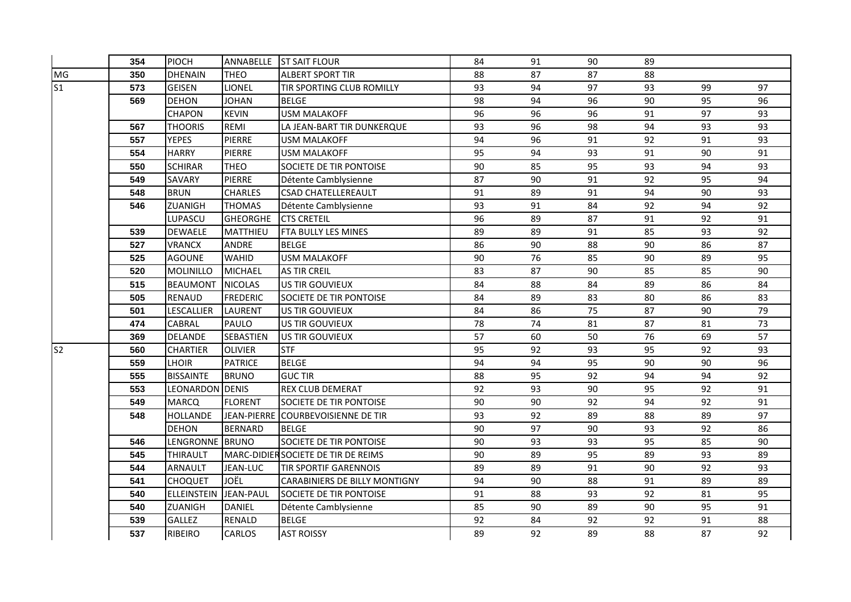|                | 354 | PIOCH              | ANNABELLE        | <b>ST SAIT FLOUR</b>                | 84 | 91 | 90 | 89 |    |    |
|----------------|-----|--------------------|------------------|-------------------------------------|----|----|----|----|----|----|
| MG             | 350 | <b>DHENAIN</b>     | <b>THEO</b>      | <b>ALBERT SPORT TIR</b>             | 88 | 87 | 87 | 88 |    |    |
| S <sub>1</sub> | 573 | <b>GEISEN</b>      | <b>LIONEL</b>    | TIR SPORTING CLUB ROMILLY           | 93 | 94 | 97 | 93 | 99 | 97 |
|                | 569 | <b>DEHON</b>       | <b>JOHAN</b>     | <b>BELGE</b>                        | 98 | 94 | 96 | 90 | 95 | 96 |
|                |     | <b>CHAPON</b>      | <b>KEVIN</b>     | <b>USM MALAKOFF</b>                 | 96 | 96 | 96 | 91 | 97 | 93 |
|                | 567 | <b>THOORIS</b>     | REMI             | LA JEAN-BART TIR DUNKERQUE          | 93 | 96 | 98 | 94 | 93 | 93 |
|                | 557 | <b>YEPES</b>       | <b>PIERRE</b>    | <b>USM MALAKOFF</b>                 | 94 | 96 | 91 | 92 | 91 | 93 |
|                | 554 | <b>HARRY</b>       | <b>PIERRE</b>    | <b>USM MALAKOFF</b>                 | 95 | 94 | 93 | 91 | 90 | 91 |
|                | 550 | <b>SCHIRAR</b>     | <b>THEO</b>      | SOCIETE DE TIR PONTOISE             | 90 | 85 | 95 | 93 | 94 | 93 |
|                | 549 | SAVARY             | PIERRE           | Détente Camblysienne                | 87 | 90 | 91 | 92 | 95 | 94 |
|                | 548 | <b>BRUN</b>        | <b>CHARLES</b>   | <b>CSAD CHATELLEREAULT</b>          | 91 | 89 | 91 | 94 | 90 | 93 |
|                | 546 | ZUANIGH            | <b>THOMAS</b>    | Détente Camblysienne                | 93 | 91 | 84 | 92 | 94 | 92 |
|                |     | LUPASCU            | <b>GHEORGHE</b>  | <b>CTS CRETEIL</b>                  | 96 | 89 | 87 | 91 | 92 | 91 |
|                | 539 | <b>DEWAELE</b>     | MATTHIEU         | FTA BULLY LES MINES                 | 89 | 89 | 91 | 85 | 93 | 92 |
|                | 527 | <b>VRANCX</b>      | ANDRE            | <b>BELGE</b>                        | 86 | 90 | 88 | 90 | 86 | 87 |
|                | 525 | <b>AGOUNE</b>      | WAHID            | <b>USM MALAKOFF</b>                 | 90 | 76 | 85 | 90 | 89 | 95 |
|                | 520 | MOLINILLO          | <b>MICHAEL</b>   | <b>AS TIR CREIL</b>                 | 83 | 87 | 90 | 85 | 85 | 90 |
|                | 515 | <b>BEAUMONT</b>    | <b>NICOLAS</b>   | <b>US TIR GOUVIEUX</b>              | 84 | 88 | 84 | 89 | 86 | 84 |
|                | 505 | <b>RENAUD</b>      | <b>FREDERIC</b>  | SOCIETE DE TIR PONTOISE             | 84 | 89 | 83 | 80 | 86 | 83 |
|                | 501 | LESCALLIER         | <b>LAURENT</b>   | US TIR GOUVIEUX                     | 84 | 86 | 75 | 87 | 90 | 79 |
|                | 474 | CABRAL             | PAULO            | US TIR GOUVIEUX                     | 78 | 74 | 81 | 87 | 81 | 73 |
|                | 369 | <b>DELANDE</b>     | SEBASTIEN        | <b>US TIR GOUVIEUX</b>              | 57 | 60 | 50 | 76 | 69 | 57 |
| S <sub>2</sub> | 560 | <b>CHARTIER</b>    | <b>OLIVIER</b>   | <b>STF</b>                          | 95 | 92 | 93 | 95 | 92 | 93 |
|                | 559 | <b>LHOIR</b>       | <b>PATRICE</b>   | <b>BELGE</b>                        | 94 | 94 | 95 | 90 | 90 | 96 |
|                | 555 | <b>BISSAINTE</b>   | <b>BRUNO</b>     | <b>GUC TIR</b>                      | 88 | 95 | 92 | 94 | 94 | 92 |
|                | 553 | LEONARDON DENIS    |                  | REX CLUB DEMERAT                    | 92 | 93 | 90 | 95 | 92 | 91 |
|                | 549 | <b>MARCQ</b>       | <b>FLORENT</b>   | SOCIETE DE TIR PONTOISE             | 90 | 90 | 92 | 94 | 92 | 91 |
|                | 548 | <b>HOLLANDE</b>    |                  | JEAN-PIERRE COURBEVOISIENNE DE TIR  | 93 | 92 | 89 | 88 | 89 | 97 |
|                |     | <b>DEHON</b>       | <b>BERNARD</b>   | <b>BELGE</b>                        | 90 | 97 | 90 | 93 | 92 | 86 |
|                | 546 | LENGRONNE BRUNO    |                  | SOCIETE DE TIR PONTOISE             | 90 | 93 | 93 | 95 | 85 | 90 |
|                | 545 | THIRAULT           |                  | MARC-DIDIER SOCIETE DE TIR DE REIMS | 90 | 89 | 95 | 89 | 93 | 89 |
|                | 544 | ARNAULT            | JEAN-LUC         | <b>TIR SPORTIF GARENNOIS</b>        | 89 | 89 | 91 | 90 | 92 | 93 |
|                | 541 | <b>CHOQUET</b>     | JOËL             | CARABINIERS DE BILLY MONTIGNY       | 94 | 90 | 88 | 91 | 89 | 89 |
|                | 540 | <b>ELLEINSTEIN</b> | <b>JEAN-PAUL</b> | SOCIETE DE TIR PONTOISE             | 91 | 88 | 93 | 92 | 81 | 95 |
|                | 540 | <b>ZUANIGH</b>     | DANIEL           | Détente Camblysienne                | 85 | 90 | 89 | 90 | 95 | 91 |
|                | 539 | GALLEZ             | <b>RENALD</b>    | <b>BELGE</b>                        | 92 | 84 | 92 | 92 | 91 | 88 |
|                | 537 | <b>RIBEIRO</b>     | CARLOS           | <b>AST ROISSY</b>                   | 89 | 92 | 89 | 88 | 87 | 92 |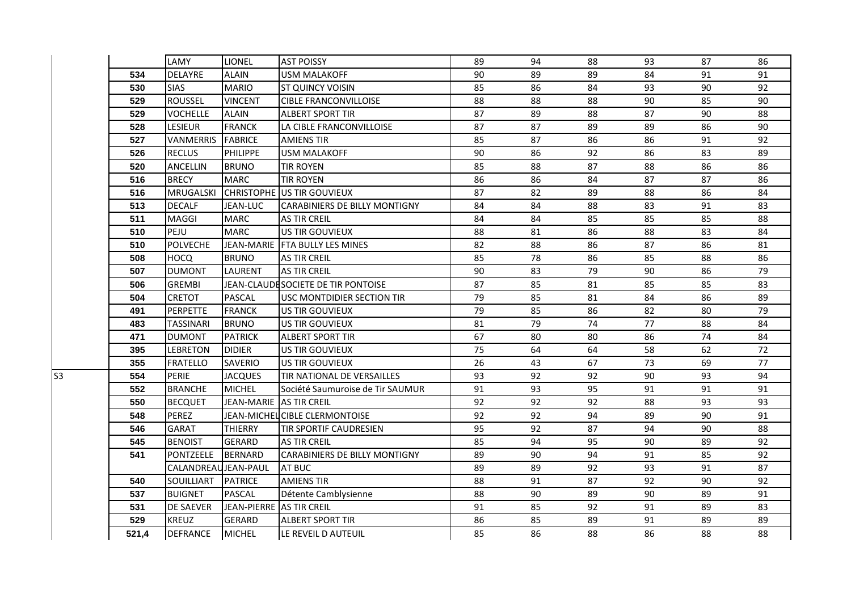|    |       | LAMY                 | <b>LIONEL</b>            | <b>AST POISSY</b>                    | 89 | 94 | 88 | 93 | 87 | 86 |
|----|-------|----------------------|--------------------------|--------------------------------------|----|----|----|----|----|----|
|    | 534   | <b>DELAYRE</b>       | <b>ALAIN</b>             | <b>USM MALAKOFF</b>                  | 90 | 89 | 89 | 84 | 91 | 91 |
|    | 530   | <b>SIAS</b>          | <b>MARIO</b>             | ST QUINCY VOISIN                     | 85 | 86 | 84 | 93 | 90 | 92 |
|    | 529   | <b>ROUSSEL</b>       | <b>VINCENT</b>           | <b>CIBLE FRANCONVILLOISE</b>         | 88 | 88 | 88 | 90 | 85 | 90 |
|    | 529   | <b>VOCHELLE</b>      | <b>ALAIN</b>             | <b>ALBERT SPORT TIR</b>              | 87 | 89 | 88 | 87 | 90 | 88 |
|    | 528   | <b>LESIEUR</b>       | <b>FRANCK</b>            | LA CIBLE FRANCONVILLOISE             | 87 | 87 | 89 | 89 | 86 | 90 |
|    | 527   | VANMERRIS            | <b>FABRICE</b>           | <b>AMIENS TIR</b>                    | 85 | 87 | 86 | 86 | 91 | 92 |
|    | 526   | <b>RECLUS</b>        | <b>PHILIPPE</b>          | <b>USM MALAKOFF</b>                  | 90 | 86 | 92 | 86 | 83 | 89 |
|    | 520   | <b>ANCELLIN</b>      | <b>BRUNO</b>             | <b>TIR ROYEN</b>                     | 85 | 88 | 87 | 88 | 86 | 86 |
|    | 516   | <b>BRECY</b>         | <b>MARC</b>              | <b>TIR ROYEN</b>                     | 86 | 86 | 84 | 87 | 87 | 86 |
|    | 516   | <b>MRUGALSKI</b>     |                          | <b>CHRISTOPHE US TIR GOUVIEUX</b>    | 87 | 82 | 89 | 88 | 86 | 84 |
|    | 513   | <b>DECALF</b>        | JEAN-LUC                 | <b>CARABINIERS DE BILLY MONTIGNY</b> | 84 | 84 | 88 | 83 | 91 | 83 |
|    | 511   | MAGGI                | <b>MARC</b>              | <b>AS TIR CREIL</b>                  | 84 | 84 | 85 | 85 | 85 | 88 |
|    | 510   | PEJU                 | <b>MARC</b>              | US TIR GOUVIEUX                      | 88 | 81 | 86 | 88 | 83 | 84 |
|    | 510   | <b>POLVECHE</b>      | <b>JEAN-MARIE</b>        | <b>FTA BULLY LES MINES</b>           | 82 | 88 | 86 | 87 | 86 | 81 |
|    | 508   | <b>HOCQ</b>          | <b>BRUNO</b>             | <b>AS TIR CREIL</b>                  | 85 | 78 | 86 | 85 | 88 | 86 |
|    | 507   | <b>DUMONT</b>        | LAURENT                  | <b>AS TIR CREIL</b>                  | 90 | 83 | 79 | 90 | 86 | 79 |
|    | 506   | <b>GREMBI</b>        |                          | JEAN-CLAUDE SOCIETE DE TIR PONTOISE  | 87 | 85 | 81 | 85 | 85 | 83 |
|    | 504   | <b>CRETOT</b>        | PASCAL                   | USC MONTDIDIER SECTION TIR           | 79 | 85 | 81 | 84 | 86 | 89 |
|    | 491   | <b>PERPETTE</b>      | <b>FRANCK</b>            | US TIR GOUVIEUX                      | 79 | 85 | 86 | 82 | 80 | 79 |
|    | 483   | <b>TASSINARI</b>     | <b>BRUNO</b>             | US TIR GOUVIEUX                      | 81 | 79 | 74 | 77 | 88 | 84 |
|    | 471   | <b>DUMONT</b>        | <b>PATRICK</b>           | <b>ALBERT SPORT TIR</b>              | 67 | 80 | 80 | 86 | 74 | 84 |
|    | 395   | <b>LEBRETON</b>      | <b>DIDIER</b>            | US TIR GOUVIEUX                      | 75 | 64 | 64 | 58 | 62 | 72 |
|    | 355   | <b>FRATELLO</b>      | <b>SAVERIO</b>           | US TIR GOUVIEUX                      | 26 | 43 | 67 | 73 | 69 | 77 |
| S3 | 554   | <b>PERIE</b>         | <b>JACQUES</b>           | TIR NATIONAL DE VERSAILLES           | 93 | 92 | 92 | 90 | 93 | 94 |
|    | 552   | <b>BRANCHE</b>       | <b>MICHEL</b>            | Société Saumuroise de Tir SAUMUR     | 91 | 93 | 95 | 91 | 91 | 91 |
|    | 550   | <b>BECQUET</b>       | JEAN-MARIE AS TIR CREIL  |                                      | 92 | 92 | 92 | 88 | 93 | 93 |
|    | 548   | <b>PEREZ</b>         |                          | JEAN-MICHEL CIBLE CLERMONTOISE       | 92 | 92 | 94 | 89 | 90 | 91 |
|    | 546   | <b>GARAT</b>         | <b>THIERRY</b>           | <b>TIR SPORTIF CAUDRESIEN</b>        | 95 | 92 | 87 | 94 | 90 | 88 |
|    | 545   | <b>BENOIST</b>       | <b>GERARD</b>            | <b>AS TIR CREIL</b>                  | 85 | 94 | 95 | 90 | 89 | 92 |
|    | 541   | PONTZEELE            | <b>BERNARD</b>           | <b>CARABINIERS DE BILLY MONTIGNY</b> | 89 | 90 | 94 | 91 | 85 | 92 |
|    |       | CALANDREAU JEAN-PAUL |                          | AT BUC                               | 89 | 89 | 92 | 93 | 91 | 87 |
|    | 540   | SOUILLIART           | <b>PATRICE</b>           | <b>AMIENS TIR</b>                    | 88 | 91 | 87 | 92 | 90 | 92 |
|    | 537   | <b>BUIGNET</b>       | PASCAL                   | Détente Camblysienne                 | 88 | 90 | 89 | 90 | 89 | 91 |
|    | 531   | <b>DE SAEVER</b>     | JEAN-PIERRE AS TIR CREIL |                                      | 91 | 85 | 92 | 91 | 89 | 83 |
|    | 529   | <b>KREUZ</b>         | <b>GERARD</b>            | <b>ALBERT SPORT TIR</b>              | 86 | 85 | 89 | 91 | 89 | 89 |
|    | 521,4 | <b>DEFRANCE</b>      | <b>MICHEL</b>            | LE REVEIL D AUTEUIL                  | 85 | 86 | 88 | 86 | 88 | 88 |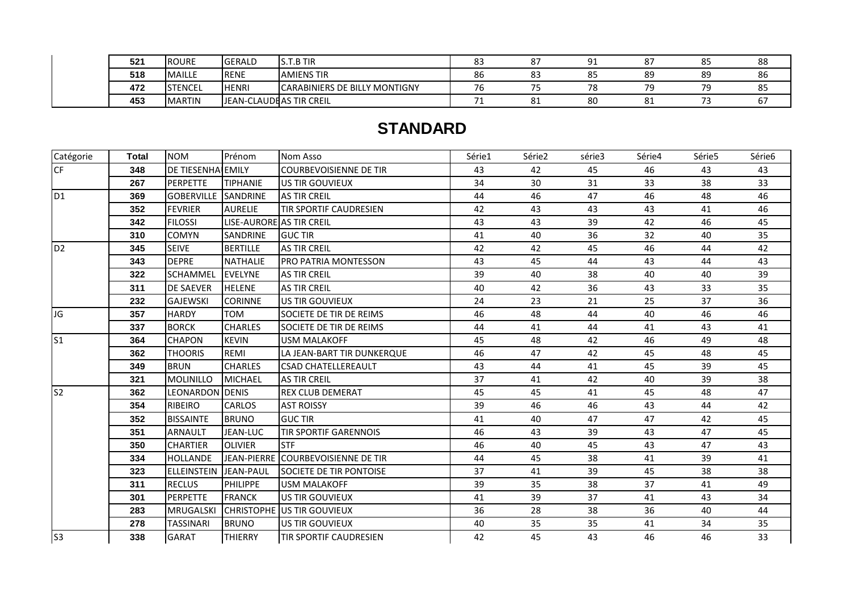| 521 | <b>ROURE</b>   | <b>GERALD</b>            | .T.B TIR<br>.                        | o-<br>oς | ດ¬<br>$\bullet$ | $\sim$ |        | oг<br>ັັ | 88       |
|-----|----------------|--------------------------|--------------------------------------|----------|-----------------|--------|--------|----------|----------|
| 518 | <b>MAILLE</b>  | <b>RENE</b>              | <b>AMIENS TIR</b>                    | 86       | ດາ<br>ده        | 85     | 89     | 89       | 86       |
| 472 | <b>STENCEL</b> | <b>HENRI</b>             | <b>CARABINIERS DE BILLY MONTIGNY</b> | 7ь       |                 | 70     | $\neg$ | 70       | 85       |
| 453 | <b>MARTIN</b>  | JEAN-CLAUDE AS TIR CREIL |                                      |          | o.<br>ΟT        | 80     | ັ      |          | $\sigma$ |

## **STANDARD**

| Catégorie      | <b>Total</b> | <b>NOM</b>                 | Prénom                   | <b>Nom Asso</b>                    | Série1 | Série2 | série3 | Série4 | Série5 | Série6 |
|----------------|--------------|----------------------------|--------------------------|------------------------------------|--------|--------|--------|--------|--------|--------|
| <b>CF</b>      | 348          | DE TIESENHA EMILY          |                          | <b>COURBEVOISIENNE DE TIR</b>      | 43     | 42     | 45     | 46     | 43     | 43     |
|                | 267          | <b>PERPETTE</b>            | <b>TIPHANIE</b>          | US TIR GOUVIEUX                    | 34     | 30     | 31     | 33     | 38     | 33     |
| D <sub>1</sub> | 369          | <b>GOBERVILLE SANDRINE</b> |                          | <b>AS TIR CREIL</b>                | 44     | 46     | 47     | 46     | 48     | 46     |
|                | 352          | <b>FEVRIER</b>             | <b>AURELIE</b>           | <b>TIR SPORTIF CAUDRESIEN</b>      | 42     | 43     | 43     | 43     | 41     | 46     |
|                | 342          | <b>FILOSSI</b>             | LISE-AURORE AS TIR CREIL |                                    | 43     | 43     | 39     | 42     | 46     | 45     |
|                | 310          | <b>COMYN</b>               | <b>SANDRINE</b>          | <b>GUC TIR</b>                     | 41     | 40     | 36     | 32     | 40     | 35     |
| D <sub>2</sub> | 345          | <b>SEIVE</b>               | <b>BERTILLE</b>          | <b>AS TIR CREIL</b>                | 42     | 42     | 45     | 46     | 44     | 42     |
|                | 343          | <b>DEPRE</b>               | <b>NATHALIE</b>          | <b>PRO PATRIA MONTESSON</b>        | 43     | 45     | 44     | 43     | 44     | 43     |
|                | 322          | <b>SCHAMMEL</b>            | <b>EVELYNE</b>           | <b>AS TIR CREIL</b>                | 39     | 40     | 38     | 40     | 40     | 39     |
|                | 311          | <b>DE SAEVER</b>           | <b>HELENE</b>            | <b>AS TIR CREIL</b>                | 40     | 42     | 36     | 43     | 33     | 35     |
|                | 232          | <b>GAJEWSKI</b>            | <b>CORINNE</b>           | US TIR GOUVIEUX                    | 24     | 23     | 21     | 25     | 37     | 36     |
| JG             | 357          | <b>HARDY</b>               | <b>TOM</b>               | SOCIETE DE TIR DE REIMS            | 46     | 48     | 44     | 40     | 46     | 46     |
|                | 337          | <b>BORCK</b>               | <b>CHARLES</b>           | SOCIETE DE TIR DE REIMS            | 44     | 41     | 44     | 41     | 43     | 41     |
| S <sub>1</sub> | 364          | <b>CHAPON</b>              | <b>KEVIN</b>             | <b>USM MALAKOFF</b>                | 45     | 48     | 42     | 46     | 49     | 48     |
|                | 362          | <b>THOORIS</b>             | REMI                     | LA JEAN-BART TIR DUNKERQUE         | 46     | 47     | 42     | 45     | 48     | 45     |
|                | 349          | <b>BRUN</b>                | <b>CHARLES</b>           | <b>CSAD CHATELLEREAULT</b>         | 43     | 44     | 41     | 45     | 39     | 45     |
|                | 321          | MOLINILLO                  | <b>MICHAEL</b>           | <b>AS TIR CREIL</b>                | 37     | 41     | 42     | 40     | 39     | 38     |
| S <sub>2</sub> | 362          | LEONARDON                  | <b>DENIS</b>             | <b>REX CLUB DEMERAT</b>            | 45     | 45     | 41     | 45     | 48     | 47     |
|                | 354          | <b>RIBEIRO</b>             | <b>CARLOS</b>            | <b>AST ROISSY</b>                  | 39     | 46     | 46     | 43     | 44     | 42     |
|                | 352          | <b>BISSAINTE</b>           | <b>BRUNO</b>             | <b>GUC TIR</b>                     | 41     | 40     | 47     | 47     | 42     | 45     |
|                | 351          | <b>ARNAULT</b>             | JEAN-LUC                 | <b>TIR SPORTIF GARENNOIS</b>       | 46     | 43     | 39     | 43     | 47     | 45     |
|                | 350          | <b>CHARTIER</b>            | <b>OLIVIER</b>           | <b>STF</b>                         | 46     | 40     | 45     | 43     | 47     | 43     |
|                | 334          | <b>HOLLANDE</b>            |                          | JEAN-PIERRE COURBEVOISIENNE DE TIR | 44     | 45     | 38     | 41     | 39     | 41     |
|                | 323          | <b>ELLEINSTEIN</b>         | <b>JEAN-PAUL</b>         | <b>SOCIETE DE TIR PONTOISE</b>     | 37     | 41     | 39     | 45     | 38     | 38     |
|                | 311          | <b>RECLUS</b>              | <b>PHILIPPE</b>          | <b>USM MALAKOFF</b>                | 39     | 35     | 38     | 37     | 41     | 49     |
|                | 301          | <b>PERPETTE</b>            | <b>FRANCK</b>            | US TIR GOUVIEUX                    | 41     | 39     | 37     | 41     | 43     | 34     |
|                | 283          | <b>MRUGALSKI</b>           |                          | <b>CHRISTOPHE US TIR GOUVIEUX</b>  | 36     | 28     | 38     | 36     | 40     | 44     |
|                | 278          | <b>TASSINARI</b>           | <b>BRUNO</b>             | US TIR GOUVIEUX                    | 40     | 35     | 35     | 41     | 34     | 35     |
| S <sub>3</sub> | 338          | GARAT                      | <b>THIERRY</b>           | TIR SPORTIF CAUDRESIEN             | 42     | 45     | 43     | 46     | 46     | 33     |